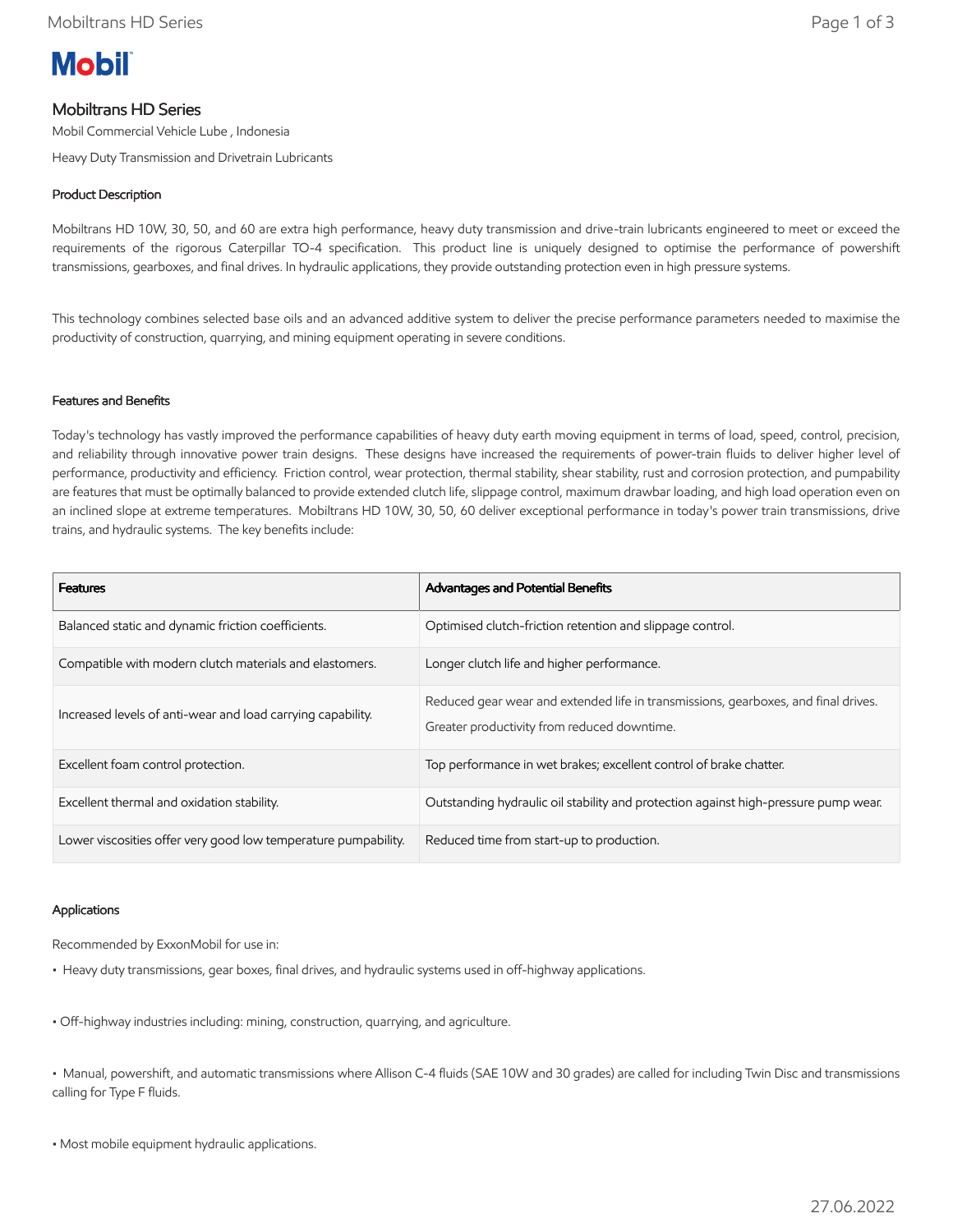

# Mobiltrans HD Series

Mobil Commercial Vehicle Lube , Indonesia

Heavy Duty Transmission and Drivetrain Lubricants

## Product Description

Mobiltrans HD 10W, 30, 50, and 60 are extra high performance, heavy duty transmission and drive-train lubricants engineered to meet or exceed the requirements of the rigorous Caterpillar TO-4 specification. This product line is uniquely designed to optimise the performance of powershift transmissions, gearboxes, and final drives. In hydraulic applications, they provide outstanding protection even in high pressure systems.

This technology combines selected base oils and an advanced additive system to deliver the precise performance parameters needed to maximise the productivity of construction, quarrying, and mining equipment operating in severe conditions.

## Features and Benefits

Today's technology has vastly improved the performance capabilities of heavy duty earth moving equipment in terms of load, speed, control, precision, and reliability through innovative power train designs. These designs have increased the requirements of power-train fluids to deliver higher level of performance, productivity and efficiency. Friction control, wear protection, thermal stability, shear stability, rust and corrosion protection, and pumpability are features that must be optimally balanced to provide extended clutch life, slippage control, maximum drawbar loading, and high load operation even on an inclined slope at extreme temperatures. Mobiltrans HD 10W, 30, 50, 60 deliver exceptional performance in today's power train transmissions, drive trains, and hydraulic systems. The key benefits include:

| <b>Features</b>                                                | Advantages and Potential Benefits                                                                                                 |
|----------------------------------------------------------------|-----------------------------------------------------------------------------------------------------------------------------------|
| Balanced static and dynamic friction coefficients.             | Optimised clutch-friction retention and slippage control.                                                                         |
| Compatible with modern clutch materials and elastomers.        | Longer clutch life and higher performance.                                                                                        |
| Increased levels of anti-wear and load carrying capability.    | Reduced gear wear and extended life in transmissions, gearboxes, and final drives.<br>Greater productivity from reduced downtime. |
| Excellent foam control protection.                             | Top performance in wet brakes; excellent control of brake chatter.                                                                |
| Excellent thermal and oxidation stability.                     | Outstanding hydraulic oil stability and protection against high-pressure pump wear.                                               |
| Lower viscosities offer very good low temperature pumpability. | Reduced time from start-up to production.                                                                                         |

## Applications

Recommended by ExxonMobil for use in:

- Heavy duty transmissions, gear boxes, final drives, and hydraulic systems used in off-highway applications.
- Off-highway industries including: mining, construction, quarrying, and agriculture.

• Manual, powershift, and automatic transmissions where Allison C-4 fluids (SAE 10W and 30 grades) are called for including Twin Disc and transmissions calling for Type F fluids.

• Most mobile equipment hydraulic applications.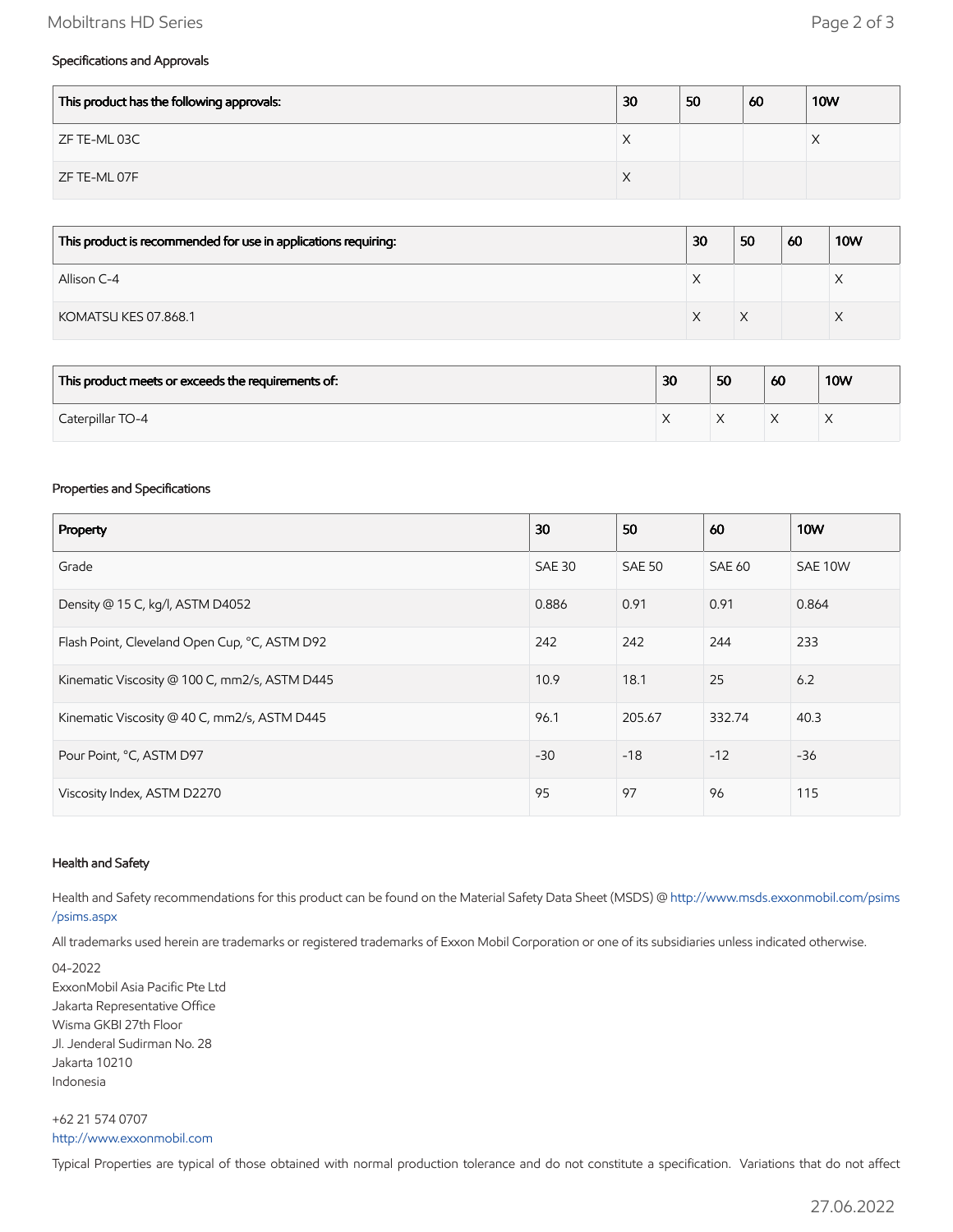## Mobiltrans HD Series **Page 2 of 3**

## Specifications and Approvals

| This product has the following approvals: | 30 | 50 | 60 | <b>10W</b> |
|-------------------------------------------|----|----|----|------------|
| ZF TE-ML 03C                              | ∧  |    |    | $\sqrt{ }$ |
| ZF TE-ML 07F                              | ∧  |    |    |            |

| This product is recommended for use in applications requiring: | 30        | 50 | 60 | <b>10W</b> |
|----------------------------------------------------------------|-----------|----|----|------------|
| Allison C-4                                                    | $\lambda$ |    |    | ⌒          |
| KOMATSU KES 07.868.1                                           |           |    |    |            |

| This product meets or exceeds the requirements of: | 30        | 50 | 60 | <b>10W</b> |
|----------------------------------------------------|-----------|----|----|------------|
| Caterpillar TO-4                                   | $\lambda$ |    |    |            |

#### Properties and Specifications

| Property                                      | 30            | 50            | 60     | <b>10W</b> |
|-----------------------------------------------|---------------|---------------|--------|------------|
| Grade                                         | <b>SAE 30</b> | <b>SAE 50</b> | SAE 60 | SAE 10W    |
| Density @ 15 C, kg/l, ASTM D4052              | 0.886         | 0.91          | 0.91   | 0.864      |
| Flash Point, Cleveland Open Cup, °C, ASTM D92 | 242           | 242           | 244    | 233        |
| Kinematic Viscosity @ 100 C, mm2/s, ASTM D445 | 10.9          | 18.1          | 25     | 6.2        |
| Kinematic Viscosity @ 40 C, mm2/s, ASTM D445  | 96.1          | 205.67        | 332.74 | 40.3       |
| Pour Point, °C, ASTM D97                      | $-30$         | $-18$         | $-12$  | $-36$      |
| Viscosity Index, ASTM D2270                   | 95            | 97            | 96     | 115        |

#### Health and Safety

Health and Safety recommendations for this product can be found on the Material Safety Data Sheet (MSDS) @ [http://www.msds.exxonmobil.com/psims](http://www.msds.exxonmobil.com/psims/psims.aspx) /psims.aspx

All trademarks used herein are trademarks or registered trademarks of Exxon Mobil Corporation or one of its subsidiaries unless indicated otherwise.

04-2022 ExxonMobil Asia Pacific Pte Ltd Jakarta Representative Office Wisma GKBI 27th Floor Jl. Jenderal Sudirman No. 28 Jakarta 10210 Indonesia

+62 21 574 0707 [http://www.exxonmobil.com](http://www.exxonmobil.com/)

Typical Properties are typical of those obtained with normal production tolerance and do not constitute a specification. Variations that do not affect